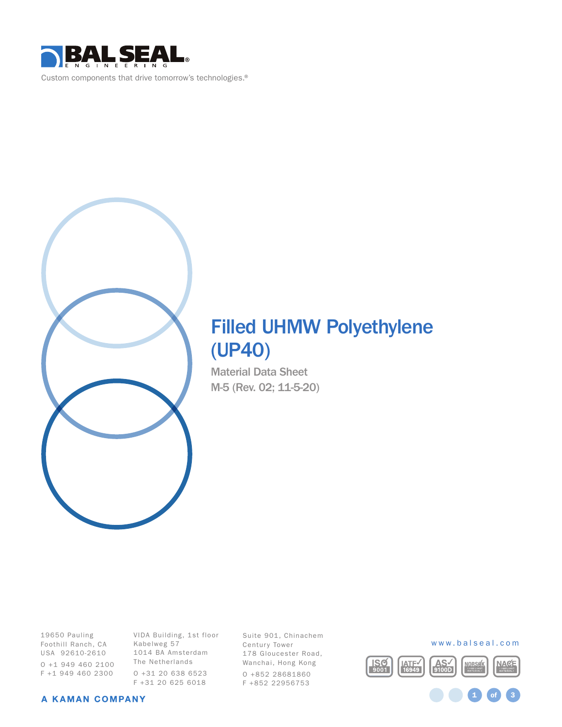



# Filled UHMW Polyethylene (UP40)

Material Data Sheet M-5 (Rev. 02; 11-5-20)

19650 Pauling Foothill Ranch, CA USA 92610-2610 O +1 949 460 2100 F +1 949 460 2300

VIDA Building, 1st floor Kabelweg 57 1014 BA Amsterdam The Netherlands O +31 20 638 6523 F +31 20 625 6018

Suite 901, Chinachem Century Tower 178 Gloucester Road, Wanchai, Hong Kong O +852 28681860 F +852 22956753



1 **of** 3

#### A KAMAN COMPANY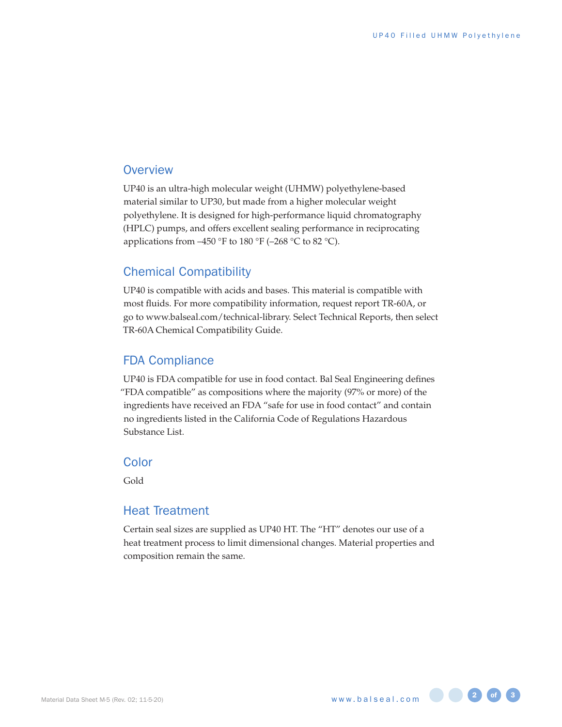#### **Overview**

UP40 is an ultra-high molecular weight (UHMW) polyethylene-based material similar to UP30, but made from a higher molecular weight polyethylene. It is designed for high-performance liquid chromatography (HPLC) pumps, and offers excellent sealing performance in reciprocating applications from  $-450$  °F to 180 °F ( $-268$  °C to 82 °C).

#### Chemical Compatibility

UP40 is compatible with acids and bases. This material is compatible with most fluids. For more compatibility information, request report TR-60A, or go to www.balseal.com/technical-library. Select Technical Reports, then select TR-60A Chemical Compatibility Guide.

#### FDA Compliance

UP40 is FDA compatible for use in food contact. Bal Seal Engineering defines "FDA compatible" as compositions where the majority (97% or more) of the ingredients have received an FDA "safe for use in food contact" and contain no ingredients listed in the California Code of Regulations Hazardous Substance List.

#### **Color**

Gold

#### Heat Treatment

Certain seal sizes are supplied as UP40 HT. The "HT" denotes our use of a heat treatment process to limit dimensional changes. Material properties and composition remain the same.

www.balseal.com **2 3 of 3**